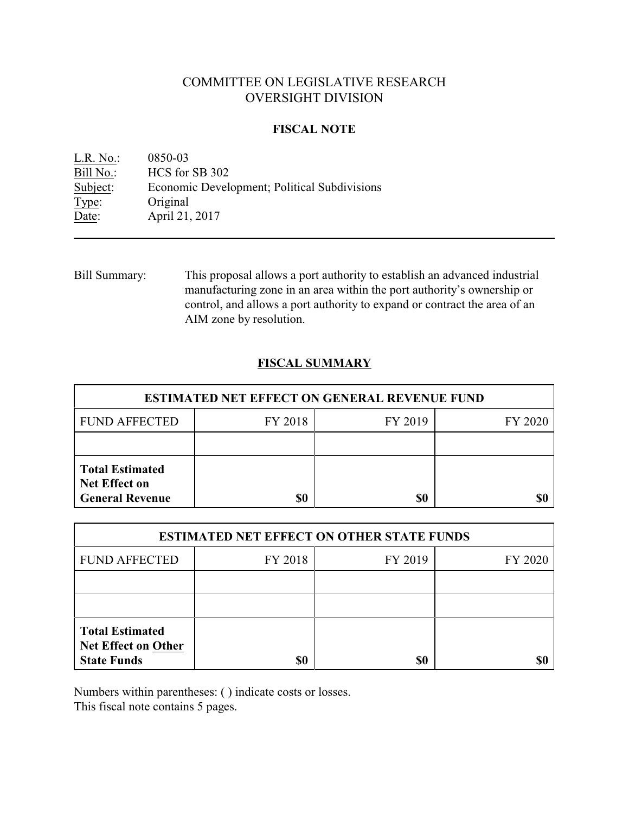## COMMITTEE ON LEGISLATIVE RESEARCH OVERSIGHT DIVISION

### **FISCAL NOTE**

<u>L.R. No.</u>: 0850-03<br>Bill No.: HCS for HCS for SB 302 Subject: Economic Development; Political Subdivisions Type: Original Date: **April 21, 2017** 

Bill Summary: This proposal allows a port authority to establish an advanced industrial manufacturing zone in an area within the port authority's ownership or control, and allows a port authority to expand or contract the area of an AIM zone by resolution.

## **FISCAL SUMMARY**

| <b>ESTIMATED NET EFFECT ON GENERAL REVENUE FUND</b>                      |         |         |         |  |
|--------------------------------------------------------------------------|---------|---------|---------|--|
| <b>FUND AFFECTED</b>                                                     | FY 2018 | FY 2019 | FY 2020 |  |
|                                                                          |         |         |         |  |
| <b>Total Estimated</b><br><b>Net Effect on</b><br><b>General Revenue</b> | \$0     | \$0     |         |  |

| <b>ESTIMATED NET EFFECT ON OTHER STATE FUNDS</b>                           |         |         |         |  |
|----------------------------------------------------------------------------|---------|---------|---------|--|
| <b>FUND AFFECTED</b>                                                       | FY 2018 | FY 2019 | FY 2020 |  |
|                                                                            |         |         |         |  |
|                                                                            |         |         |         |  |
| <b>Total Estimated</b><br><b>Net Effect on Other</b><br><b>State Funds</b> | \$0     | \$0     |         |  |

Numbers within parentheses: ( ) indicate costs or losses.

This fiscal note contains 5 pages.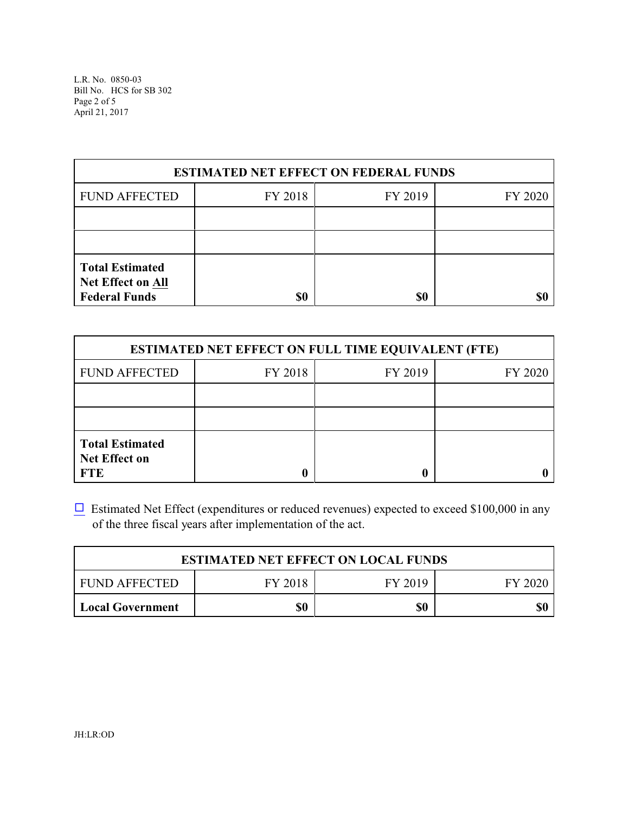L.R. No. 0850-03 Bill No. HCS for SB 302 Page 2 of 5 April 21, 2017

| <b>ESTIMATED NET EFFECT ON FEDERAL FUNDS</b>                               |         |         |         |  |
|----------------------------------------------------------------------------|---------|---------|---------|--|
| <b>FUND AFFECTED</b>                                                       | FY 2018 | FY 2019 | FY 2020 |  |
|                                                                            |         |         |         |  |
|                                                                            |         |         |         |  |
| <b>Total Estimated</b><br><b>Net Effect on All</b><br><b>Federal Funds</b> | \$0     | \$0     |         |  |

| <b>ESTIMATED NET EFFECT ON FULL TIME EQUIVALENT (FTE)</b>    |         |         |         |  |
|--------------------------------------------------------------|---------|---------|---------|--|
| <b>FUND AFFECTED</b>                                         | FY 2018 | FY 2019 | FY 2020 |  |
|                                                              |         |         |         |  |
|                                                              |         |         |         |  |
| <b>Total Estimated</b><br><b>Net Effect on</b><br><b>FTE</b> |         |         |         |  |

 $\Box$  Estimated Net Effect (expenditures or reduced revenues) expected to exceed \$100,000 in any of the three fiscal years after implementation of the act.

| <b>ESTIMATED NET EFFECT ON LOCAL FUNDS</b> |         |         |           |  |
|--------------------------------------------|---------|---------|-----------|--|
| FUND AFFECTED                              | FY 2018 | FY 2019 | - FY 2020 |  |
| Local Government                           | \$0     | \$0     |           |  |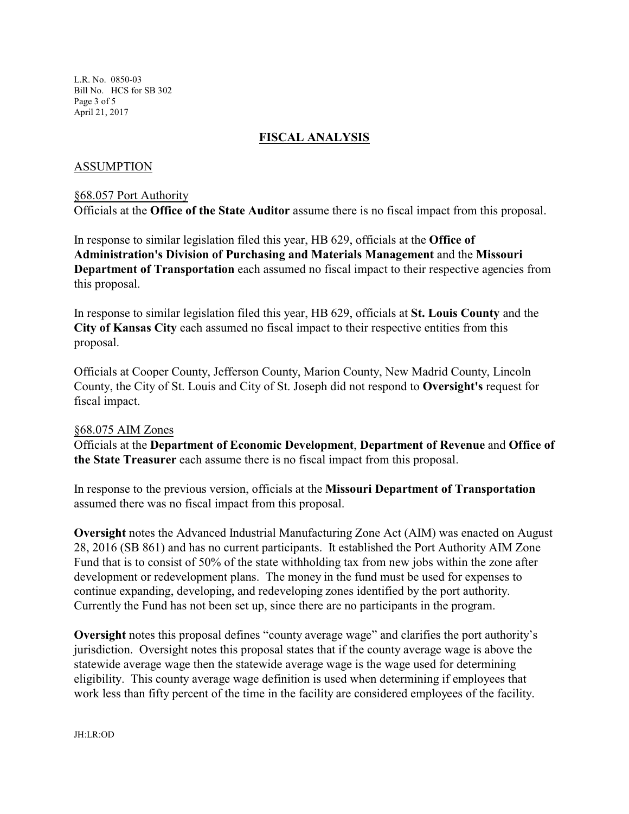L.R. No. 0850-03 Bill No. HCS for SB 302 Page 3 of 5 April 21, 2017

## **FISCAL ANALYSIS**

#### ASSUMPTION

#### §68.057 Port Authority

Officials at the **Office of the State Auditor** assume there is no fiscal impact from this proposal.

In response to similar legislation filed this year, HB 629, officials at the **Office of Administration's Division of Purchasing and Materials Management** and the **Missouri Department of Transportation** each assumed no fiscal impact to their respective agencies from this proposal.

In response to similar legislation filed this year, HB 629, officials at **St. Louis County** and the **City of Kansas City** each assumed no fiscal impact to their respective entities from this proposal.

Officials at Cooper County, Jefferson County, Marion County, New Madrid County, Lincoln County, the City of St. Louis and City of St. Joseph did not respond to **Oversight's** request for fiscal impact.

#### §68.075 AIM Zones

Officials at the **Department of Economic Development**, **Department of Revenue** and **Office of the State Treasurer** each assume there is no fiscal impact from this proposal.

In response to the previous version, officials at the **Missouri Department of Transportation** assumed there was no fiscal impact from this proposal.

**Oversight** notes the Advanced Industrial Manufacturing Zone Act (AIM) was enacted on August 28, 2016 (SB 861) and has no current participants. It established the Port Authority AIM Zone Fund that is to consist of 50% of the state withholding tax from new jobs within the zone after development or redevelopment plans. The money in the fund must be used for expenses to continue expanding, developing, and redeveloping zones identified by the port authority. Currently the Fund has not been set up, since there are no participants in the program.

**Oversight** notes this proposal defines "county average wage" and clarifies the port authority's jurisdiction. Oversight notes this proposal states that if the county average wage is above the statewide average wage then the statewide average wage is the wage used for determining eligibility. This county average wage definition is used when determining if employees that work less than fifty percent of the time in the facility are considered employees of the facility.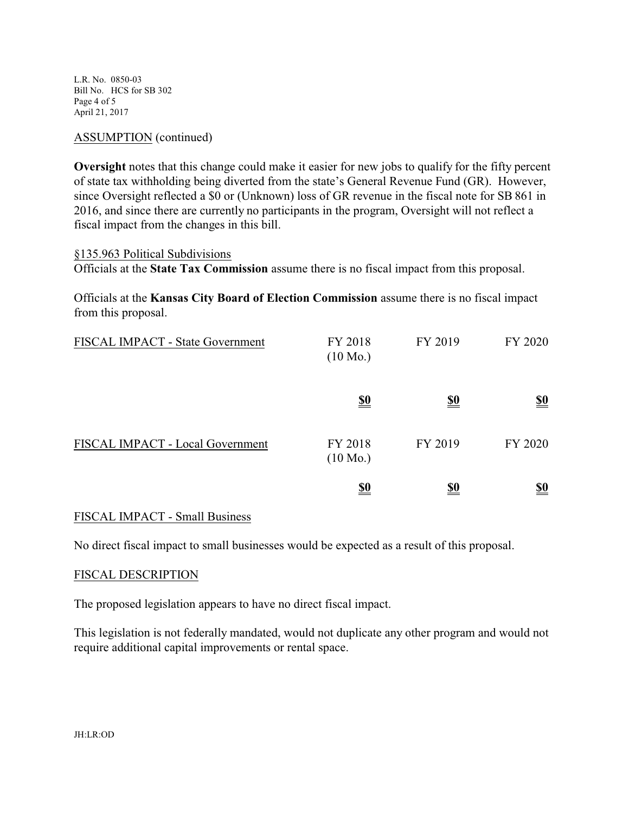L.R. No. 0850-03 Bill No. HCS for SB 302 Page 4 of 5 April 21, 2017

### ASSUMPTION (continued)

**Oversight** notes that this change could make it easier for new jobs to qualify for the fifty percent of state tax withholding being diverted from the state's General Revenue Fund (GR). However, since Oversight reflected a \$0 or (Unknown) loss of GR revenue in the fiscal note for SB 861 in 2016, and since there are currently no participants in the program, Oversight will not reflect a fiscal impact from the changes in this bill.

#### §135.963 Political Subdivisions

Officials at the **State Tax Commission** assume there is no fiscal impact from this proposal.

Officials at the **Kansas City Board of Election Commission** assume there is no fiscal impact from this proposal.

| FISCAL IMPACT - State Government | FY 2018<br>$(10 \text{ Mo.})$ | FY 2019    | FY 2020                       |
|----------------------------------|-------------------------------|------------|-------------------------------|
|                                  | <u>\$0</u>                    | <u>\$0</u> | $\underline{\underline{\$0}}$ |
| FISCAL IMPACT - Local Government | FY 2018<br>$(10 \text{ Mo.})$ | FY 2019    | FY 2020                       |
|                                  | <u>\$0</u>                    | <u>\$0</u> | $\underline{\underline{\$0}}$ |

#### FISCAL IMPACT - Small Business

No direct fiscal impact to small businesses would be expected as a result of this proposal.

#### FISCAL DESCRIPTION

The proposed legislation appears to have no direct fiscal impact.

This legislation is not federally mandated, would not duplicate any other program and would not require additional capital improvements or rental space.